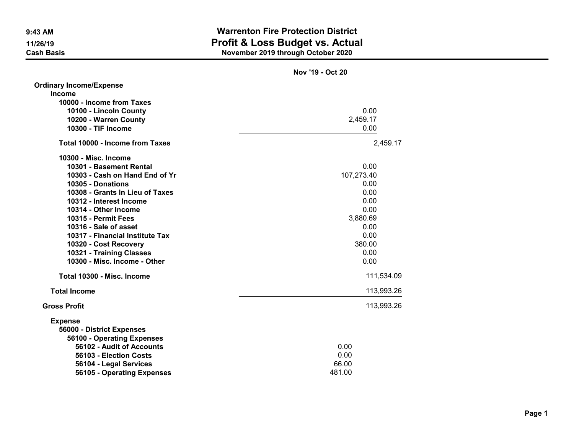|                                        | Nov '19 - Oct 20 |
|----------------------------------------|------------------|
| <b>Ordinary Income/Expense</b>         |                  |
| Income                                 |                  |
| 10000 - Income from Taxes              |                  |
| 10100 - Lincoln County                 | 0.00             |
| 10200 - Warren County                  | 2,459.17         |
| 10300 - TIF Income                     | 0.00             |
| <b>Total 10000 - Income from Taxes</b> | 2,459.17         |
| 10300 - Misc. Income                   |                  |
| 10301 - Basement Rental                | 0.00             |
| 10303 - Cash on Hand End of Yr         | 107,273.40       |
| 10305 - Donations                      | 0.00             |
| 10308 - Grants In Lieu of Taxes        | 0.00             |
| 10312 - Interest Income                | 0.00             |
| 10314 - Other Income                   | 0.00             |
| 10315 - Permit Fees                    | 3,880.69         |
| 10316 - Sale of asset                  | 0.00             |
| 10317 - Financial Institute Tax        | 0.00             |
| 10320 - Cost Recovery                  | 380.00           |
| 10321 - Training Classes               | 0.00             |
| 10300 - Misc. Income - Other           | 0.00             |
| Total 10300 - Misc. Income             | 111,534.09       |
| <b>Total Income</b>                    | 113,993.26       |
| <b>Gross Profit</b>                    | 113,993.26       |
| <b>Expense</b>                         |                  |
| 56000 - District Expenses              |                  |
| 56100 - Operating Expenses             |                  |
| 56102 - Audit of Accounts              | 0.00             |
| 56103 - Election Costs                 | 0.00             |
| 56104 - Legal Services                 | 66.00            |
| 56105 - Operating Expenses             | 481.00           |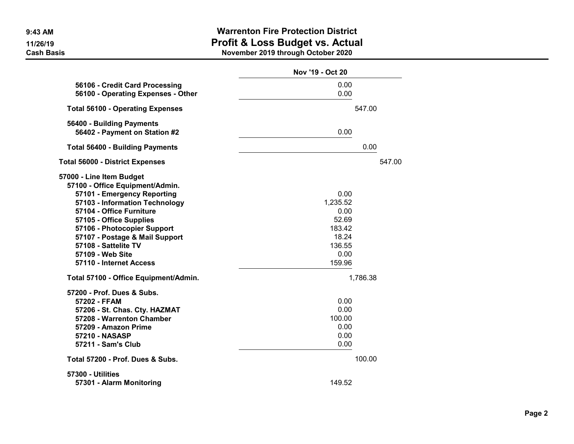|                                                                                                                                                                                                                                                                                                                             | Nov '19 - Oct 20                                                                 |          |
|-----------------------------------------------------------------------------------------------------------------------------------------------------------------------------------------------------------------------------------------------------------------------------------------------------------------------------|----------------------------------------------------------------------------------|----------|
| 56106 - Credit Card Processing<br>56100 - Operating Expenses - Other                                                                                                                                                                                                                                                        | 0.00<br>0.00                                                                     |          |
| <b>Total 56100 - Operating Expenses</b>                                                                                                                                                                                                                                                                                     |                                                                                  | 547.00   |
| 56400 - Building Payments<br>56402 - Payment on Station #2                                                                                                                                                                                                                                                                  | 0.00                                                                             |          |
| <b>Total 56400 - Building Payments</b>                                                                                                                                                                                                                                                                                      |                                                                                  | 0.00     |
| <b>Total 56000 - District Expenses</b>                                                                                                                                                                                                                                                                                      |                                                                                  | 547.00   |
| 57000 - Line Item Budget<br>57100 - Office Equipment/Admin.<br>57101 - Emergency Reporting<br>57103 - Information Technology<br>57104 - Office Furniture<br>57105 - Office Supplies<br>57106 - Photocopier Support<br>57107 - Postage & Mail Support<br>57108 - Sattelite TV<br>57109 - Web Site<br>57110 - Internet Access | 0.00<br>1,235.52<br>0.00<br>52.69<br>183.42<br>18.24<br>136.55<br>0.00<br>159.96 |          |
| Total 57100 - Office Equipment/Admin.                                                                                                                                                                                                                                                                                       |                                                                                  | 1,786.38 |
| 57200 - Prof. Dues & Subs.<br>57202 - FFAM<br>57206 - St. Chas. Cty. HAZMAT<br>57208 - Warrenton Chamber<br>57209 - Amazon Prime<br><b>57210 - NASASP</b><br>57211 - Sam's Club                                                                                                                                             | 0.00<br>0.00<br>100.00<br>0.00<br>0.00<br>0.00                                   |          |
| Total 57200 - Prof. Dues & Subs.                                                                                                                                                                                                                                                                                            |                                                                                  | 100.00   |
| 57300 - Utilities<br>57301 - Alarm Monitoring                                                                                                                                                                                                                                                                               | 149.52                                                                           |          |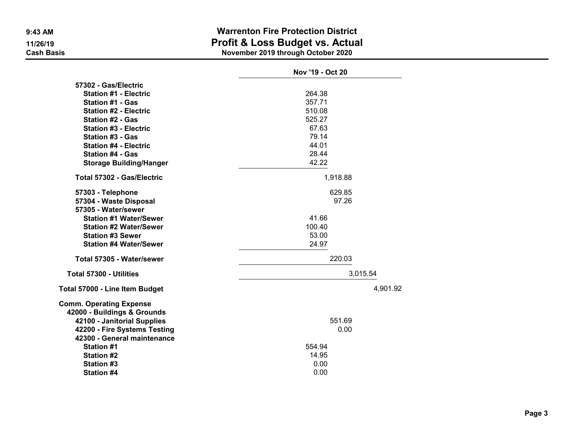|                                   | Nov '19 - Oct 20 |
|-----------------------------------|------------------|
| 57302 - Gas/Electric              |                  |
| <b>Station #1 - Electric</b>      | 264.38           |
| <b>Station #1 - Gas</b>           | 357.71           |
| <b>Station #2 - Electric</b>      | 510.08           |
| <b>Station #2 - Gas</b>           | 525.27           |
| <b>Station #3 - Electric</b>      | 67.63            |
| <b>Station #3 - Gas</b>           | 79.14            |
| <b>Station #4 - Electric</b>      | 44.01            |
| <b>Station #4 - Gas</b>           | 28.44            |
| <b>Storage Building/Hanger</b>    | 42.22            |
| <b>Total 57302 - Gas/Electric</b> | 1,918.88         |
| 57303 - Telephone                 | 629.85           |
| 57304 - Waste Disposal            | 97.26            |
| 57305 - Water/sewer               |                  |
| <b>Station #1 Water/Sewer</b>     | 41.66            |
| <b>Station #2 Water/Sewer</b>     | 100.40           |
| <b>Station #3 Sewer</b>           | 53.00            |
| <b>Station #4 Water/Sewer</b>     | 24.97            |
| Total 57305 - Water/sewer         | 220.03           |
| <b>Total 57300 - Utilities</b>    | 3,015.54         |
| Total 57000 - Line Item Budget    | 4,901.92         |
| <b>Comm. Operating Expense</b>    |                  |
| 42000 - Buildings & Grounds       |                  |
| 42100 - Janitorial Supplies       | 551.69           |
| 42200 - Fire Systems Testing      | 0.00             |
| 42300 - General maintenance       |                  |
| <b>Station #1</b>                 | 554.94           |
| <b>Station #2</b>                 | 14.95            |
| Station #3                        | 0.00             |
| <b>Station #4</b>                 | 0.00             |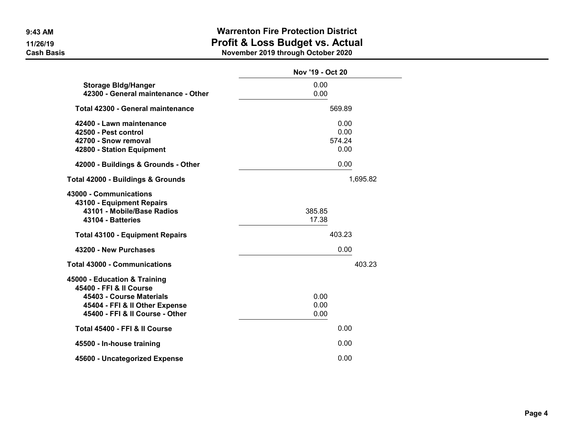|                                                                                                                                                          | Nov '19 - Oct 20               |
|----------------------------------------------------------------------------------------------------------------------------------------------------------|--------------------------------|
| <b>Storage Bldg/Hanger</b><br>42300 - General maintenance - Other                                                                                        | 0.00<br>0.00                   |
| Total 42300 - General maintenance                                                                                                                        | 569.89                         |
| 42400 - Lawn maintenance<br>42500 - Pest control<br>42700 - Snow removal<br>42800 - Station Equipment                                                    | 0.00<br>0.00<br>574.24<br>0.00 |
| 42000 - Buildings & Grounds - Other                                                                                                                      | 0.00                           |
| Total 42000 - Buildings & Grounds                                                                                                                        | 1,695.82                       |
| 43000 - Communications<br>43100 - Equipment Repairs<br>43101 - Mobile/Base Radios<br>43104 - Batteries                                                   | 385.85<br>17.38                |
| <b>Total 43100 - Equipment Repairs</b>                                                                                                                   | 403.23                         |
| 43200 - New Purchases                                                                                                                                    | 0.00                           |
| <b>Total 43000 - Communications</b>                                                                                                                      | 403.23                         |
| 45000 - Education & Training<br>45400 - FFI & II Course<br>45403 - Course Materials<br>45404 - FFI & II Other Expense<br>45400 - FFI & II Course - Other | 0.00<br>0.00<br>0.00           |
| Total 45400 - FFI & II Course                                                                                                                            | 0.00                           |
| 45500 - In-house training                                                                                                                                | 0.00                           |
| 45600 - Uncategorized Expense                                                                                                                            | 0.00                           |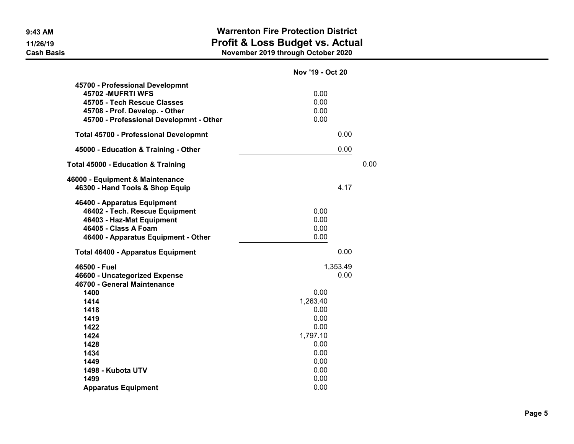|                                                                                                                                                                   | Nov '19 - Oct 20                         |      |
|-------------------------------------------------------------------------------------------------------------------------------------------------------------------|------------------------------------------|------|
| 45700 - Professional Developmnt<br>45702 - MUFRTI WFS<br>45705 - Tech Rescue Classes<br>45708 - Prof. Develop. - Other<br>45700 - Professional Developmnt - Other | 0.00<br>0.00<br>0.00<br>0.00             |      |
| <b>Total 45700 - Professional Developmnt</b>                                                                                                                      | 0.00                                     |      |
| 45000 - Education & Training - Other                                                                                                                              | 0.00                                     |      |
| <b>Total 45000 - Education &amp; Training</b>                                                                                                                     |                                          | 0.00 |
| 46000 - Equipment & Maintenance<br>46300 - Hand Tools & Shop Equip                                                                                                | 4.17                                     |      |
| 46400 - Apparatus Equipment<br>46402 - Tech. Rescue Equipment<br>46403 - Haz-Mat Equipment<br>46405 - Class A Foam<br>46400 - Apparatus Equipment - Other         | 0.00<br>0.00<br>0.00<br>0.00             |      |
| <b>Total 46400 - Apparatus Equipment</b>                                                                                                                          | 0.00                                     |      |
| 46500 - Fuel<br>46600 - Uncategorized Expense<br>46700 - General Maintenance                                                                                      | 1,353.49<br>0.00                         |      |
| 1400<br>1414<br>1418<br>1419<br>1422                                                                                                                              | 0.00<br>1,263.40<br>0.00<br>0.00<br>0.00 |      |
| 1424<br>1428<br>1434                                                                                                                                              | 1,797.10<br>0.00<br>0.00                 |      |
| 1449<br>1498 - Kubota UTV<br>1499                                                                                                                                 | 0.00<br>0.00<br>0.00                     |      |
| <b>Apparatus Equipment</b>                                                                                                                                        | 0.00                                     |      |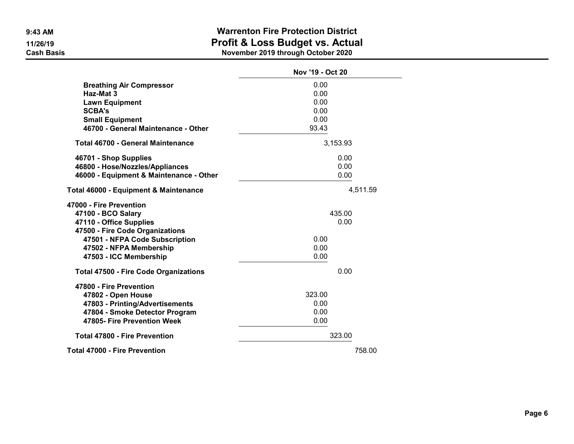|                                              | Nov '19 - Oct 20 |          |
|----------------------------------------------|------------------|----------|
| <b>Breathing Air Compressor</b>              | 0.00             |          |
| Haz-Mat 3                                    | 0.00             |          |
| <b>Lawn Equipment</b>                        | 0.00             |          |
| <b>SCBA's</b>                                | 0.00             |          |
| <b>Small Equipment</b>                       | 0.00             |          |
| 46700 - General Maintenance - Other          | 93.43            |          |
| <b>Total 46700 - General Maintenance</b>     |                  | 3,153.93 |
| 46701 - Shop Supplies                        |                  | 0.00     |
| 46800 - Hose/Nozzles/Appliances              |                  | 0.00     |
| 46000 - Equipment & Maintenance - Other      |                  | 0.00     |
| Total 46000 - Equipment & Maintenance        |                  | 4,511.59 |
| 47000 - Fire Prevention                      |                  |          |
| 47100 - BCO Salary                           |                  | 435.00   |
| 47110 - Office Supplies                      |                  | 0.00     |
| 47500 - Fire Code Organizations              |                  |          |
| 47501 - NFPA Code Subscription               | 0.00             |          |
| 47502 - NFPA Membership                      | 0.00             |          |
| 47503 - ICC Membership                       | 0.00             |          |
| <b>Total 47500 - Fire Code Organizations</b> |                  | 0.00     |
| 47800 - Fire Prevention                      |                  |          |
| 47802 - Open House                           | 323.00           |          |
| 47803 - Printing/Advertisements              | 0.00             |          |
| 47804 - Smoke Detector Program               | 0.00             |          |
| 47805- Fire Prevention Week                  | 0.00             |          |
| <b>Total 47800 - Fire Prevention</b>         |                  | 323.00   |
| <b>Total 47000 - Fire Prevention</b>         |                  | 758.00   |
|                                              |                  |          |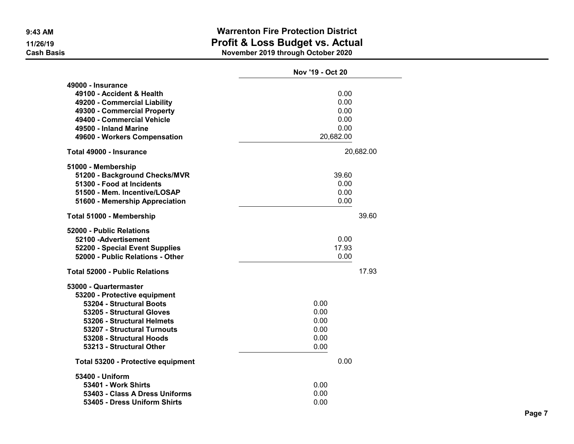|                                                                                                                                                                                                                                     | Nov '19 - Oct 20                                  |
|-------------------------------------------------------------------------------------------------------------------------------------------------------------------------------------------------------------------------------------|---------------------------------------------------|
| 49000 - Insurance<br>49100 - Accident & Health<br>49200 - Commercial Liability<br>49300 - Commercial Property<br>49400 - Commercial Vehicle<br>49500 - Inland Marine<br>49600 - Workers Compensation                                | 0.00<br>0.00<br>0.00<br>0.00<br>0.00<br>20,682.00 |
| Total 49000 - Insurance                                                                                                                                                                                                             | 20,682.00                                         |
| 51000 - Membership<br>51200 - Background Checks/MVR<br>51300 - Food at Incidents<br>51500 - Mem. Incentive/LOSAP<br>51600 - Memership Appreciation                                                                                  | 39.60<br>0.00<br>0.00<br>0.00                     |
| Total 51000 - Membership                                                                                                                                                                                                            | 39.60                                             |
| 52000 - Public Relations<br>52100 - Advertisement<br>52200 - Special Event Supplies<br>52000 - Public Relations - Other                                                                                                             | 0.00<br>17.93<br>0.00                             |
| <b>Total 52000 - Public Relations</b>                                                                                                                                                                                               | 17.93                                             |
| 53000 - Quartermaster<br>53200 - Protective equipment<br>53204 - Structural Boots<br>53205 - Structural Gloves<br>53206 - Structural Helmets<br>53207 - Structural Turnouts<br>53208 - Structural Hoods<br>53213 - Structural Other | 0.00<br>0.00<br>0.00<br>0.00<br>0.00<br>0.00      |
| Total 53200 - Protective equipment                                                                                                                                                                                                  | 0.00                                              |
| 53400 - Uniform<br>53401 - Work Shirts<br>53403 - Class A Dress Uniforms<br>53405 - Dress Uniform Shirts                                                                                                                            | 0.00<br>0.00<br>0.00                              |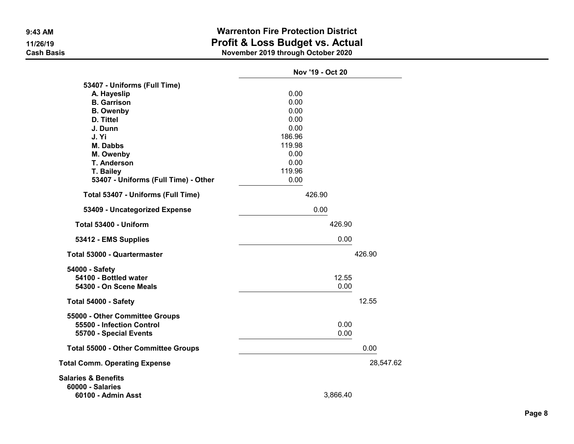|                                                                                       | Nov '19 - Oct 20 |           |
|---------------------------------------------------------------------------------------|------------------|-----------|
| 53407 - Uniforms (Full Time)                                                          |                  |           |
| A. Hayeslip                                                                           | 0.00             |           |
| <b>B.</b> Garrison                                                                    | 0.00             |           |
| <b>B.</b> Owenby                                                                      | 0.00             |           |
| D. Tittel                                                                             | 0.00             |           |
| J. Dunn                                                                               | 0.00             |           |
| J. Yi                                                                                 | 186.96           |           |
| <b>M. Dabbs</b>                                                                       | 119.98           |           |
| M. Owenby                                                                             | 0.00             |           |
| <b>T. Anderson</b>                                                                    | 0.00             |           |
| T. Bailey                                                                             | 119.96           |           |
| 53407 - Uniforms (Full Time) - Other                                                  | 0.00             |           |
| Total 53407 - Uniforms (Full Time)                                                    | 426.90           |           |
| 53409 - Uncategorized Expense                                                         | 0.00             |           |
| Total 53400 - Uniform                                                                 | 426.90           |           |
| 53412 - EMS Supplies                                                                  | 0.00             |           |
| Total 53000 - Quartermaster                                                           |                  | 426.90    |
| 54000 - Safety<br>54100 - Bottled water<br>54300 - On Scene Meals                     | 12.55<br>0.00    |           |
| Total 54000 - Safety                                                                  |                  | 12.55     |
| 55000 - Other Committee Groups<br>55500 - Infection Control<br>55700 - Special Events | 0.00<br>0.00     |           |
| <b>Total 55000 - Other Committee Groups</b>                                           |                  | 0.00      |
| <b>Total Comm. Operating Expense</b>                                                  |                  | 28,547.62 |
| <b>Salaries &amp; Benefits</b><br><b>60000 - Salaries</b><br>60100 - Admin Asst       | 3,866.40         |           |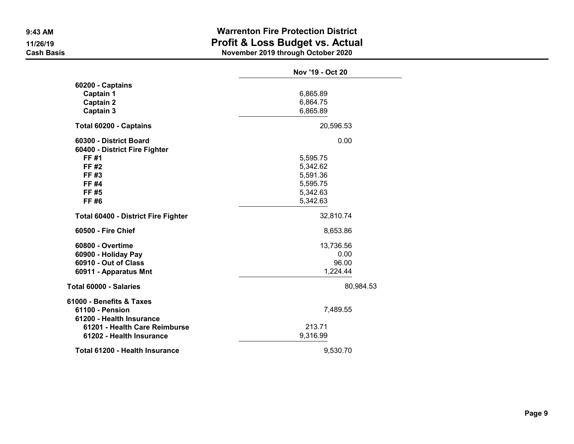|                                                                                | Nov '19 - Oct 20     |
|--------------------------------------------------------------------------------|----------------------|
| 60200 - Captains<br><b>Captain 1</b><br><b>Captain 2</b>                       | 6,865.89<br>6,864.75 |
| Captain 3                                                                      | 6,865.89             |
| Total 60200 - Captains                                                         | 20,596.53            |
| 60300 - District Board<br>60400 - District Fire Fighter                        | 0.00                 |
| FF #1                                                                          | 5,595.75             |
| FF #2                                                                          | 5,342.62             |
| FF #3                                                                          | 5,591.36             |
| FF #4                                                                          | 5,595.75             |
| FF #5                                                                          | 5,342.63             |
| FF #6                                                                          | 5,342.63             |
| <b>Total 60400 - District Fire Fighter</b>                                     | 32,810.74            |
| 60500 - Fire Chief                                                             | 8,653.86             |
| 60800 - Overtime                                                               | 13,736.56            |
| 60900 - Holiday Pay                                                            | 0.00                 |
| 60910 - Out of Class                                                           | 96.00                |
| 60911 - Apparatus Mnt                                                          | 1,224.44             |
| Total 60000 - Salaries                                                         | 80,984.53            |
| 61000 - Benefits & Taxes<br><b>61100 - Pension</b><br>61200 - Health Insurance | 7,489.55             |
| 61201 - Health Care Reimburse<br>61202 - Health Insurance                      | 213.71<br>9,316.99   |
| Total 61200 - Health Insurance                                                 | 9,530.70             |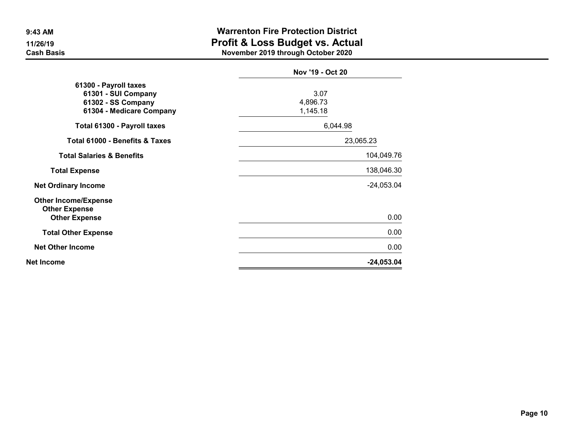|                                                                                                | Nov '19 - Oct 20             |              |
|------------------------------------------------------------------------------------------------|------------------------------|--------------|
| 61300 - Payroll taxes<br>61301 - SUI Company<br>61302 - SS Company<br>61304 - Medicare Company | 3.07<br>4,896.73<br>1,145.18 |              |
| Total 61300 - Payroll taxes                                                                    | 6,044.98                     |              |
| <b>Total 61000 - Benefits &amp; Taxes</b>                                                      | 23,065.23                    |              |
| <b>Total Salaries &amp; Benefits</b>                                                           |                              | 104,049.76   |
| <b>Total Expense</b>                                                                           |                              | 138,046.30   |
| <b>Net Ordinary Income</b>                                                                     |                              | $-24,053.04$ |
| <b>Other Income/Expense</b><br><b>Other Expense</b><br><b>Other Expense</b>                    |                              | 0.00         |
| <b>Total Other Expense</b>                                                                     |                              | 0.00         |
| <b>Net Other Income</b>                                                                        |                              | 0.00         |
| Net Income                                                                                     |                              | $-24,053.04$ |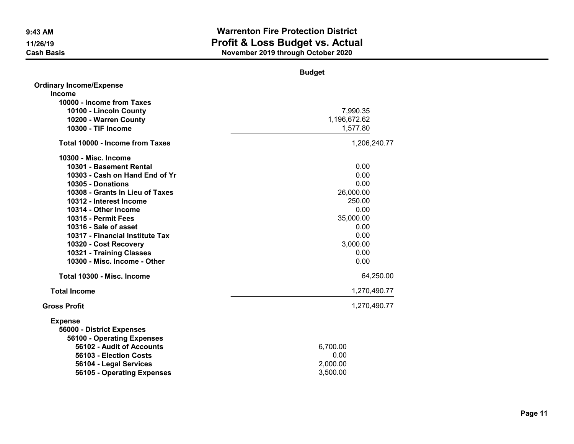|                                        | <b>Budget</b> |
|----------------------------------------|---------------|
| <b>Ordinary Income/Expense</b>         |               |
| <b>Income</b>                          |               |
| 10000 - Income from Taxes              |               |
| 10100 - Lincoln County                 | 7,990.35      |
| 10200 - Warren County                  | 1,196,672.62  |
| 10300 - TIF Income                     | 1,577.80      |
| <b>Total 10000 - Income from Taxes</b> | 1,206,240.77  |
| 10300 - Misc. Income                   |               |
| 10301 - Basement Rental                | 0.00          |
| 10303 - Cash on Hand End of Yr         | 0.00          |
| 10305 - Donations                      | 0.00          |
| 10308 - Grants In Lieu of Taxes        | 26,000.00     |
| 10312 - Interest Income                | 250.00        |
| 10314 - Other Income                   | 0.00          |
| 10315 - Permit Fees                    | 35,000.00     |
| 10316 - Sale of asset                  | 0.00          |
| 10317 - Financial Institute Tax        | 0.00          |
| 10320 - Cost Recovery                  | 3,000.00      |
| 10321 - Training Classes               | 0.00          |
| 10300 - Misc. Income - Other           | 0.00          |
| Total 10300 - Misc. Income             | 64,250.00     |
| <b>Total Income</b>                    | 1,270,490.77  |
| <b>Gross Profit</b>                    | 1,270,490.77  |
| <b>Expense</b>                         |               |
| 56000 - District Expenses              |               |
| 56100 - Operating Expenses             |               |
| 56102 - Audit of Accounts              | 6,700.00      |
| 56103 - Election Costs                 | 0.00          |
| 56104 - Legal Services                 | 2,000.00      |
| 56105 - Operating Expenses             | 3,500.00      |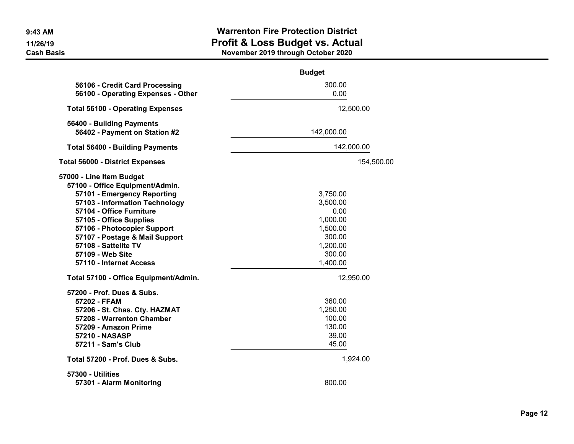|                                                                                                                                                                                                                                                                                                                             | <b>Budget</b>                                                                                    |  |
|-----------------------------------------------------------------------------------------------------------------------------------------------------------------------------------------------------------------------------------------------------------------------------------------------------------------------------|--------------------------------------------------------------------------------------------------|--|
| 56106 - Credit Card Processing<br>56100 - Operating Expenses - Other                                                                                                                                                                                                                                                        | 300.00<br>0.00                                                                                   |  |
| <b>Total 56100 - Operating Expenses</b>                                                                                                                                                                                                                                                                                     | 12,500.00                                                                                        |  |
| 56400 - Building Payments<br>56402 - Payment on Station #2                                                                                                                                                                                                                                                                  | 142,000.00                                                                                       |  |
| <b>Total 56400 - Building Payments</b>                                                                                                                                                                                                                                                                                      | 142,000.00                                                                                       |  |
| <b>Total 56000 - District Expenses</b>                                                                                                                                                                                                                                                                                      | 154,500.00                                                                                       |  |
| 57000 - Line Item Budget<br>57100 - Office Equipment/Admin.<br>57101 - Emergency Reporting<br>57103 - Information Technology<br>57104 - Office Furniture<br>57105 - Office Supplies<br>57106 - Photocopier Support<br>57107 - Postage & Mail Support<br>57108 - Sattelite TV<br>57109 - Web Site<br>57110 - Internet Access | 3,750.00<br>3,500.00<br>0.00<br>1,000.00<br>1,500.00<br>300.00<br>1,200.00<br>300.00<br>1,400.00 |  |
| Total 57100 - Office Equipment/Admin.                                                                                                                                                                                                                                                                                       | 12,950.00                                                                                        |  |
| 57200 - Prof. Dues & Subs.<br>57202 - FFAM<br>57206 - St. Chas. Cty. HAZMAT<br>57208 - Warrenton Chamber<br>57209 - Amazon Prime<br><b>57210 - NASASP</b><br>57211 - Sam's Club                                                                                                                                             | 360.00<br>1,250.00<br>100.00<br>130.00<br>39.00<br>45.00                                         |  |
| Total 57200 - Prof. Dues & Subs.                                                                                                                                                                                                                                                                                            | 1,924.00                                                                                         |  |
| 57300 - Utilities<br>57301 - Alarm Monitoring                                                                                                                                                                                                                                                                               | 800.00                                                                                           |  |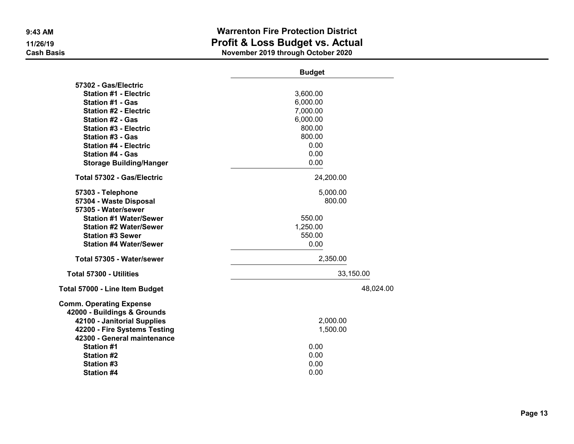|                                | <b>Budget</b> |
|--------------------------------|---------------|
| 57302 - Gas/Electric           |               |
| <b>Station #1 - Electric</b>   | 3,600.00      |
| <b>Station #1 - Gas</b>        | 6,000.00      |
| <b>Station #2 - Electric</b>   | 7,000.00      |
| <b>Station #2 - Gas</b>        | 6,000.00      |
| <b>Station #3 - Electric</b>   | 800.00        |
| <b>Station #3 - Gas</b>        | 800.00        |
| <b>Station #4 - Electric</b>   | 0.00          |
| <b>Station #4 - Gas</b>        | 0.00          |
| <b>Storage Building/Hanger</b> | 0.00          |
| Total 57302 - Gas/Electric     | 24,200.00     |
| 57303 - Telephone              | 5,000.00      |
| 57304 - Waste Disposal         | 800.00        |
| 57305 - Water/sewer            |               |
| <b>Station #1 Water/Sewer</b>  | 550.00        |
| <b>Station #2 Water/Sewer</b>  | 1,250.00      |
| <b>Station #3 Sewer</b>        | 550.00        |
| <b>Station #4 Water/Sewer</b>  | 0.00          |
| Total 57305 - Water/sewer      | 2,350.00      |
| <b>Total 57300 - Utilities</b> | 33,150.00     |
| Total 57000 - Line Item Budget | 48,024.00     |
| <b>Comm. Operating Expense</b> |               |
| 42000 - Buildings & Grounds    |               |
| 42100 - Janitorial Supplies    | 2,000.00      |
| 42200 - Fire Systems Testing   | 1,500.00      |
| 42300 - General maintenance    |               |
| <b>Station #1</b>              | 0.00          |
| <b>Station #2</b>              | 0.00          |
| <b>Station #3</b>              | 0.00          |
| <b>Station #4</b>              | 0.00          |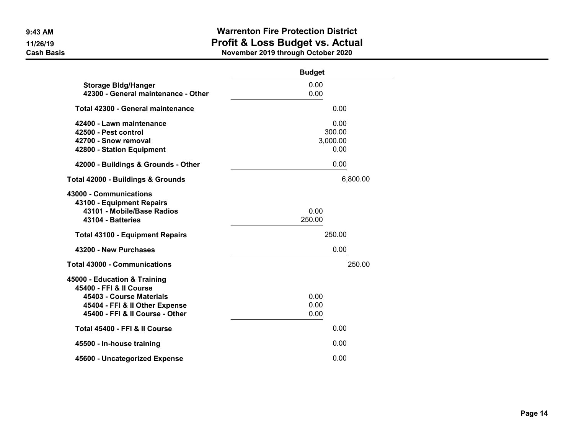|                                                                                                                                                          | <b>Budget</b>                      |
|----------------------------------------------------------------------------------------------------------------------------------------------------------|------------------------------------|
| <b>Storage Bidg/Hanger</b><br>42300 - General maintenance - Other                                                                                        | 0.00<br>0.00                       |
| Total 42300 - General maintenance                                                                                                                        | 0.00                               |
| 42400 - Lawn maintenance<br>42500 - Pest control<br>42700 - Snow removal<br>42800 - Station Equipment                                                    | 0.00<br>300.00<br>3,000.00<br>0.00 |
| 42000 - Buildings & Grounds - Other                                                                                                                      | 0.00                               |
| <b>Total 42000 - Buildings &amp; Grounds</b>                                                                                                             | 6,800.00                           |
| 43000 - Communications<br>43100 - Equipment Repairs<br>43101 - Mobile/Base Radios<br>43104 - Batteries                                                   | 0.00<br>250.00                     |
| <b>Total 43100 - Equipment Repairs</b>                                                                                                                   | 250.00                             |
| 43200 - New Purchases                                                                                                                                    | 0.00                               |
| <b>Total 43000 - Communications</b>                                                                                                                      | 250.00                             |
| 45000 - Education & Training<br>45400 - FFI & II Course<br>45403 - Course Materials<br>45404 - FFI & II Other Expense<br>45400 - FFI & II Course - Other | 0.00<br>0.00<br>0.00               |
| Total 45400 - FFI & II Course                                                                                                                            | 0.00                               |
| 45500 - In-house training                                                                                                                                | 0.00                               |
| 45600 - Uncategorized Expense                                                                                                                            | 0.00                               |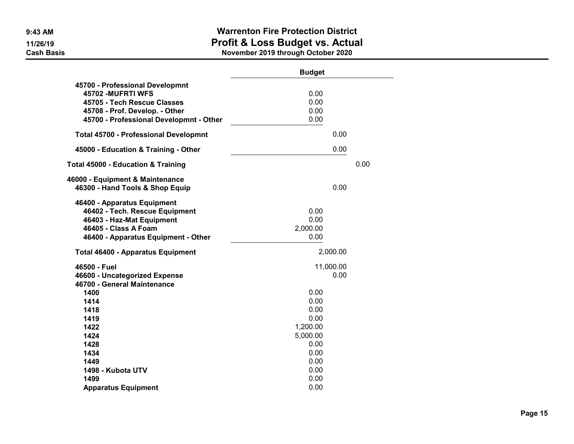|                                                                    | <b>Budget</b> |      |
|--------------------------------------------------------------------|---------------|------|
| 45700 - Professional Developmnt<br>45702 - MUFRTI WFS              | 0.00          |      |
| 45705 - Tech Rescue Classes                                        | 0.00          |      |
| 45708 - Prof. Develop. - Other                                     | 0.00          |      |
| 45700 - Professional Developmnt - Other                            | 0.00          |      |
| <b>Total 45700 - Professional Developmnt</b>                       | 0.00          |      |
| 45000 - Education & Training - Other                               | 0.00          |      |
| <b>Total 45000 - Education &amp; Training</b>                      |               | 0.00 |
|                                                                    |               |      |
| 46000 - Equipment & Maintenance<br>46300 - Hand Tools & Shop Equip | 0.00          |      |
| 46400 - Apparatus Equipment                                        |               |      |
| 46402 - Tech. Rescue Equipment                                     | 0.00          |      |
| 46403 - Haz-Mat Equipment                                          | 0.00          |      |
| 46405 - Class A Foam                                               | 2,000.00      |      |
| 46400 - Apparatus Equipment - Other                                | 0.00          |      |
| <b>Total 46400 - Apparatus Equipment</b>                           | 2,000.00      |      |
| 46500 - Fuel                                                       | 11,000.00     |      |
| 46600 - Uncategorized Expense                                      | 0.00          |      |
| 46700 - General Maintenance                                        |               |      |
| 1400                                                               | 0.00          |      |
| 1414                                                               | 0.00          |      |
| 1418                                                               | 0.00          |      |
| 1419                                                               | 0.00          |      |
| 1422                                                               | 1,200.00      |      |
| 1424                                                               | 5,000.00      |      |
| 1428                                                               | 0.00          |      |
| 1434                                                               | 0.00          |      |
| 1449                                                               | 0.00          |      |
| 1498 - Kubota UTV                                                  | 0.00<br>0.00  |      |
| 1499                                                               | 0.00          |      |
| <b>Apparatus Equipment</b>                                         |               |      |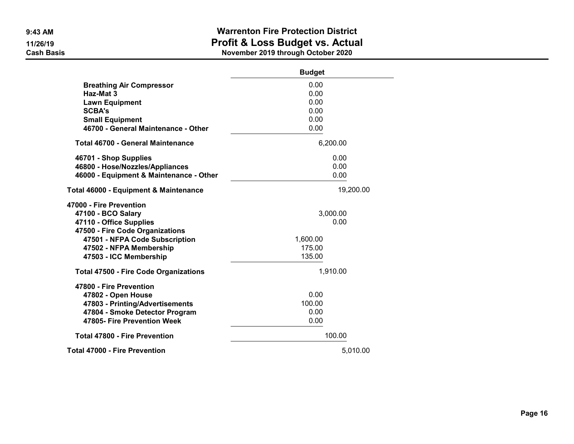|                                              | <b>Budget</b> |  |
|----------------------------------------------|---------------|--|
| <b>Breathing Air Compressor</b>              | 0.00          |  |
| Haz-Mat 3                                    | 0.00          |  |
| <b>Lawn Equipment</b>                        | 0.00          |  |
| <b>SCBA's</b>                                | 0.00          |  |
| <b>Small Equipment</b>                       | 0.00          |  |
| 46700 - General Maintenance - Other          | 0.00          |  |
| <b>Total 46700 - General Maintenance</b>     | 6,200.00      |  |
| 46701 - Shop Supplies                        | 0.00          |  |
| 46800 - Hose/Nozzles/Appliances              | 0.00          |  |
| 46000 - Equipment & Maintenance - Other      | 0.00          |  |
| Total 46000 - Equipment & Maintenance        | 19,200.00     |  |
| 47000 - Fire Prevention                      |               |  |
| 47100 - BCO Salary                           | 3,000.00      |  |
| 47110 - Office Supplies                      | 0.00          |  |
| 47500 - Fire Code Organizations              |               |  |
| 47501 - NFPA Code Subscription               | 1,600.00      |  |
| 47502 - NFPA Membership                      | 175.00        |  |
| 47503 - ICC Membership                       | 135.00        |  |
| <b>Total 47500 - Fire Code Organizations</b> | 1,910.00      |  |
| 47800 - Fire Prevention                      |               |  |
| 47802 - Open House                           | 0.00          |  |
| 47803 - Printing/Advertisements              | 100.00        |  |
| 47804 - Smoke Detector Program               | 0.00          |  |
| 47805- Fire Prevention Week                  | 0.00          |  |
| <b>Total 47800 - Fire Prevention</b>         | 100.00        |  |
| <b>Total 47000 - Fire Prevention</b>         | 5,010.00      |  |
|                                              |               |  |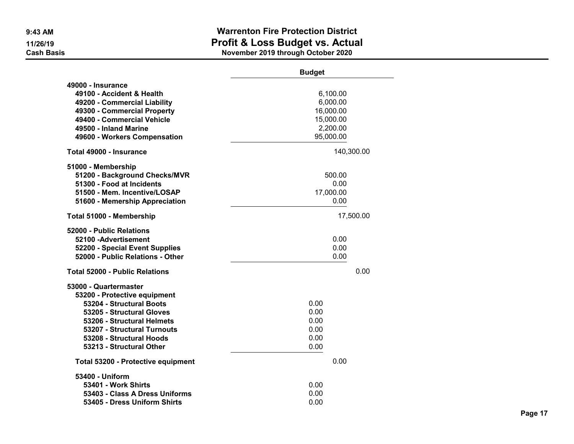|                                                                                                                                                                                                                                     | <b>Budget</b>                                                           |  |
|-------------------------------------------------------------------------------------------------------------------------------------------------------------------------------------------------------------------------------------|-------------------------------------------------------------------------|--|
| 49000 - Insurance<br>49100 - Accident & Health<br>49200 - Commercial Liability<br>49300 - Commercial Property<br>49400 - Commercial Vehicle<br>49500 - Inland Marine<br>49600 - Workers Compensation                                | 6,100.00<br>6,000.00<br>16,000.00<br>15,000.00<br>2,200.00<br>95,000.00 |  |
| Total 49000 - Insurance                                                                                                                                                                                                             | 140,300.00                                                              |  |
| 51000 - Membership<br>51200 - Background Checks/MVR<br>51300 - Food at Incidents<br>51500 - Mem. Incentive/LOSAP<br>51600 - Memership Appreciation                                                                                  | 500.00<br>0.00<br>17,000.00<br>0.00                                     |  |
| Total 51000 - Membership                                                                                                                                                                                                            | 17,500.00                                                               |  |
| 52000 - Public Relations<br>52100 - Advertisement<br>52200 - Special Event Supplies<br>52000 - Public Relations - Other                                                                                                             | 0.00<br>0.00<br>0.00                                                    |  |
| <b>Total 52000 - Public Relations</b>                                                                                                                                                                                               | 0.00                                                                    |  |
| 53000 - Quartermaster<br>53200 - Protective equipment<br>53204 - Structural Boots<br>53205 - Structural Gloves<br>53206 - Structural Helmets<br>53207 - Structural Turnouts<br>53208 - Structural Hoods<br>53213 - Structural Other | 0.00<br>0.00<br>0.00<br>0.00<br>0.00<br>0.00                            |  |
| Total 53200 - Protective equipment                                                                                                                                                                                                  | 0.00                                                                    |  |
| 53400 - Uniform<br>53401 - Work Shirts<br>53403 - Class A Dress Uniforms<br>53405 - Dress Uniform Shirts                                                                                                                            | 0.00<br>0.00<br>0.00                                                    |  |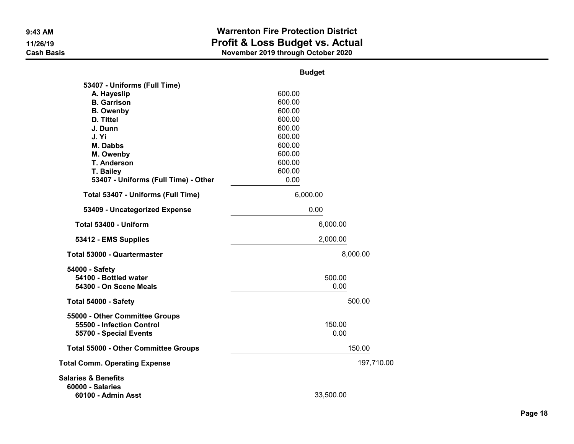|                                                                                       | <b>Budget</b>  |            |
|---------------------------------------------------------------------------------------|----------------|------------|
| 53407 - Uniforms (Full Time)                                                          |                |            |
| A. Hayeslip                                                                           | 600.00         |            |
| <b>B.</b> Garrison                                                                    | 600.00         |            |
| <b>B.</b> Owenby                                                                      | 600.00         |            |
| D. Tittel                                                                             | 600.00         |            |
| J. Dunn                                                                               | 600.00         |            |
| J. Yi                                                                                 | 600.00         |            |
| <b>M. Dabbs</b>                                                                       | 600.00         |            |
| M. Owenby                                                                             | 600.00         |            |
| <b>T. Anderson</b>                                                                    | 600.00         |            |
| T. Bailey                                                                             | 600.00         |            |
| 53407 - Uniforms (Full Time) - Other                                                  | 0.00           |            |
| Total 53407 - Uniforms (Full Time)                                                    | 6,000.00       |            |
| 53409 - Uncategorized Expense                                                         | 0.00           |            |
| Total 53400 - Uniform                                                                 | 6,000.00       |            |
| 53412 - EMS Supplies                                                                  | 2,000.00       |            |
| Total 53000 - Quartermaster                                                           |                | 8,000.00   |
| 54000 - Safety<br>54100 - Bottled water<br>54300 - On Scene Meals                     | 500.00<br>0.00 |            |
| Total 54000 - Safety                                                                  |                | 500.00     |
| 55000 - Other Committee Groups<br>55500 - Infection Control<br>55700 - Special Events | 150.00<br>0.00 |            |
| <b>Total 55000 - Other Committee Groups</b>                                           |                | 150.00     |
| <b>Total Comm. Operating Expense</b>                                                  |                | 197,710.00 |
| <b>Salaries &amp; Benefits</b><br><b>60000 - Salaries</b><br>60100 - Admin Asst       | 33,500.00      |            |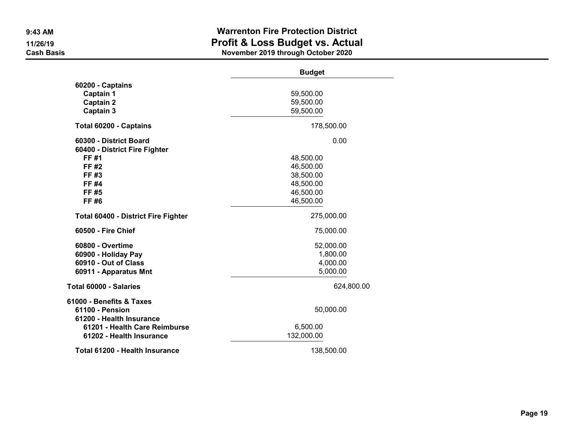|                                                    | <b>Budget</b>          |
|----------------------------------------------------|------------------------|
| 60200 - Captains                                   |                        |
| Captain 1                                          | 59,500.00              |
| <b>Captain 2</b>                                   | 59,500.00              |
| <b>Captain 3</b>                                   | 59,500.00              |
| Total 60200 - Captains                             | 178,500.00             |
| 60300 - District Board                             | 0.00                   |
| 60400 - District Fire Fighter                      |                        |
| FF #1                                              | 48,500.00              |
| FF #2                                              | 46,500.00              |
| FF #3                                              | 38,500.00              |
| <b>FF#4</b>                                        | 48,500.00              |
| FF #5<br>FF #6                                     | 46,500.00<br>46,500.00 |
|                                                    |                        |
| <b>Total 60400 - District Fire Fighter</b>         | 275,000.00             |
| 60500 - Fire Chief                                 | 75,000.00              |
| 60800 - Overtime                                   | 52,000.00              |
| 60900 - Holiday Pay                                | 1,800.00               |
| 60910 - Out of Class                               | 4,000.00               |
| 60911 - Apparatus Mnt                              | 5,000.00               |
| Total 60000 - Salaries                             | 624,800.00             |
| 61000 - Benefits & Taxes                           |                        |
| <b>61100 - Pension</b><br>61200 - Health Insurance | 50,000.00              |
| 61201 - Health Care Reimburse                      | 6,500.00               |
| 61202 - Health Insurance                           | 132,000.00             |
| Total 61200 - Health Insurance                     | 138,500.00             |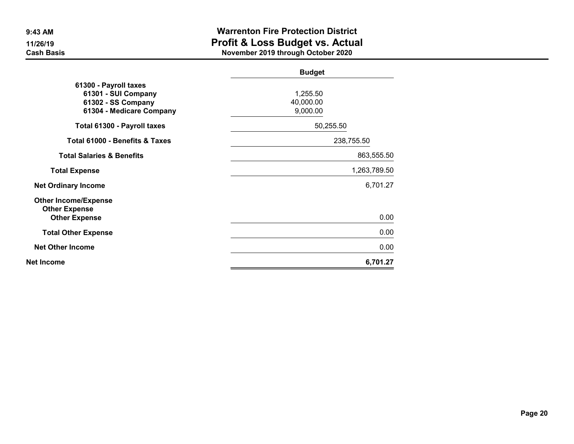|                                                                                                | <b>Budget</b>                     |              |
|------------------------------------------------------------------------------------------------|-----------------------------------|--------------|
| 61300 - Payroll taxes<br>61301 - SUI Company<br>61302 - SS Company<br>61304 - Medicare Company | 1,255.50<br>40,000.00<br>9,000.00 |              |
| Total 61300 - Payroll taxes                                                                    | 50,255.50                         |              |
| Total 61000 - Benefits & Taxes                                                                 | 238,755.50                        |              |
| <b>Total Salaries &amp; Benefits</b>                                                           |                                   | 863,555.50   |
| <b>Total Expense</b>                                                                           |                                   | 1,263,789.50 |
| <b>Net Ordinary Income</b>                                                                     |                                   | 6,701.27     |
| <b>Other Income/Expense</b><br><b>Other Expense</b><br><b>Other Expense</b>                    |                                   | 0.00         |
| <b>Total Other Expense</b>                                                                     |                                   | 0.00         |
| <b>Net Other Income</b>                                                                        |                                   | 0.00         |
| Net Income                                                                                     |                                   | 6,701.27     |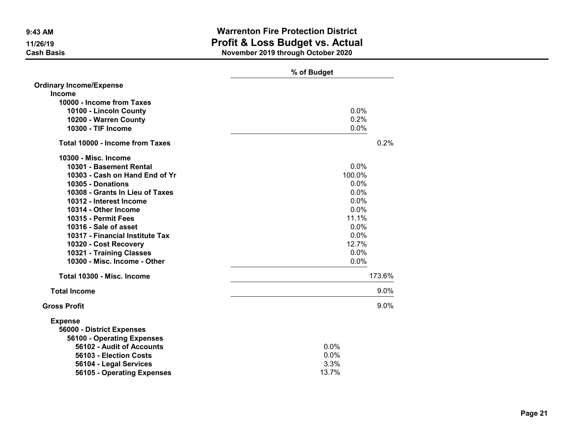|                                 | % of Budget |
|---------------------------------|-------------|
| <b>Ordinary Income/Expense</b>  |             |
| <b>Income</b>                   |             |
| 10000 - Income from Taxes       |             |
| 10100 - Lincoln County          | 0.0%        |
| 10200 - Warren County           | 0.2%        |
| 10300 - TIF Income              | 0.0%        |
| Total 10000 - Income from Taxes | 0.2%        |
| 10300 - Misc. Income            |             |
| 10301 - Basement Rental         | 0.0%        |
| 10303 - Cash on Hand End of Yr  | 100.0%      |
| 10305 - Donations               | 0.0%        |
| 10308 - Grants In Lieu of Taxes | 0.0%        |
| 10312 - Interest Income         | 0.0%        |
| 10314 - Other Income            | 0.0%        |
| 10315 - Permit Fees             | 11.1%       |
| 10316 - Sale of asset           | 0.0%        |
| 10317 - Financial Institute Tax | 0.0%        |
| 10320 - Cost Recovery           | 12.7%       |
| 10321 - Training Classes        | 0.0%        |
| 10300 - Misc. Income - Other    | 0.0%        |
| Total 10300 - Misc. Income      | 173.6%      |
| <b>Total Income</b>             | 9.0%        |
| <b>Gross Profit</b>             | 9.0%        |
| <b>Expense</b>                  |             |
| 56000 - District Expenses       |             |
| 56100 - Operating Expenses      |             |
| 56102 - Audit of Accounts       | 0.0%        |
| 56103 - Election Costs          | 0.0%        |
| 56104 - Legal Services          | 3.3%        |
| 56105 - Operating Expenses      | 13.7%       |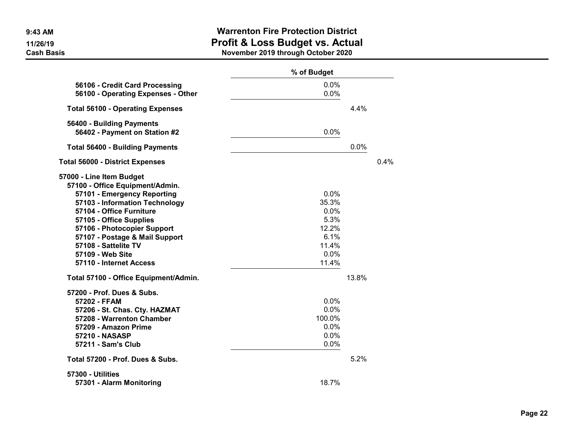|                                                                      | % of Budget  |       |         |
|----------------------------------------------------------------------|--------------|-------|---------|
| 56106 - Credit Card Processing<br>56100 - Operating Expenses - Other | 0.0%<br>0.0% |       |         |
| <b>Total 56100 - Operating Expenses</b>                              |              | 4.4%  |         |
| 56400 - Building Payments<br>56402 - Payment on Station #2           | 0.0%         |       |         |
| <b>Total 56400 - Building Payments</b>                               |              | 0.0%  |         |
| <b>Total 56000 - District Expenses</b>                               |              |       | $0.4\%$ |
| 57000 - Line Item Budget<br>57100 - Office Equipment/Admin.          |              |       |         |
| 57101 - Emergency Reporting                                          | 0.0%         |       |         |
| 57103 - Information Technology                                       | 35.3%        |       |         |
| 57104 - Office Furniture                                             | 0.0%         |       |         |
| 57105 - Office Supplies                                              | 5.3%         |       |         |
| 57106 - Photocopier Support                                          | 12.2%        |       |         |
| 57107 - Postage & Mail Support                                       | 6.1%         |       |         |
| 57108 - Sattelite TV                                                 | 11.4%        |       |         |
| 57109 - Web Site                                                     | 0.0%         |       |         |
| 57110 - Internet Access                                              | 11.4%        |       |         |
| Total 57100 - Office Equipment/Admin.                                |              | 13.8% |         |
| 57200 - Prof. Dues & Subs.                                           |              |       |         |
| 57202 - FFAM                                                         | 0.0%         |       |         |
| 57206 - St. Chas. Cty. HAZMAT                                        | 0.0%         |       |         |
| 57208 - Warrenton Chamber                                            | 100.0%       |       |         |
| 57209 - Amazon Prime                                                 | 0.0%         |       |         |
| 57210 - NASASP                                                       | 0.0%         |       |         |
| 57211 - Sam's Club                                                   | 0.0%         |       |         |
| Total 57200 - Prof. Dues & Subs.                                     |              | 5.2%  |         |
| 57300 - Utilities                                                    |              |       |         |
| 57301 - Alarm Monitoring                                             | 18.7%        |       |         |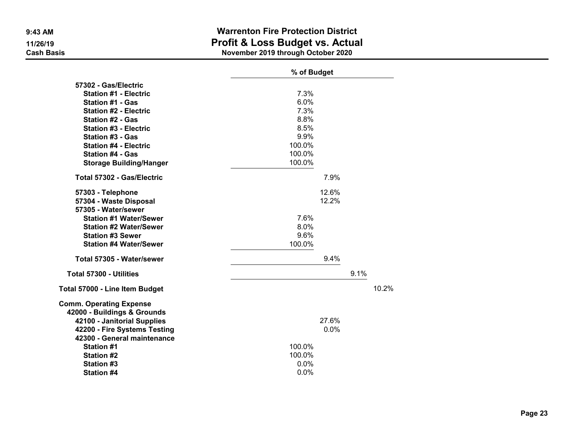|                                | % of Budget |      |       |
|--------------------------------|-------------|------|-------|
| 57302 - Gas/Electric           |             |      |       |
| <b>Station #1 - Electric</b>   | 7.3%        |      |       |
| <b>Station #1 - Gas</b>        | 6.0%        |      |       |
| <b>Station #2 - Electric</b>   | 7.3%        |      |       |
| <b>Station #2 - Gas</b>        | 8.8%        |      |       |
| <b>Station #3 - Electric</b>   | 8.5%        |      |       |
| <b>Station #3 - Gas</b>        | 9.9%        |      |       |
| <b>Station #4 - Electric</b>   | 100.0%      |      |       |
| <b>Station #4 - Gas</b>        | 100.0%      |      |       |
| <b>Storage Building/Hanger</b> | 100.0%      |      |       |
| Total 57302 - Gas/Electric     | 7.9%        |      |       |
| 57303 - Telephone              | 12.6%       |      |       |
| 57304 - Waste Disposal         | 12.2%       |      |       |
| 57305 - Water/sewer            |             |      |       |
| <b>Station #1 Water/Sewer</b>  | 7.6%        |      |       |
| <b>Station #2 Water/Sewer</b>  | 8.0%        |      |       |
| <b>Station #3 Sewer</b>        | 9.6%        |      |       |
| <b>Station #4 Water/Sewer</b>  | 100.0%      |      |       |
| Total 57305 - Water/sewer      | 9.4%        |      |       |
| Total 57300 - Utilities        |             | 9.1% |       |
| Total 57000 - Line Item Budget |             |      | 10.2% |
| <b>Comm. Operating Expense</b> |             |      |       |
| 42000 - Buildings & Grounds    |             |      |       |
| 42100 - Janitorial Supplies    | 27.6%       |      |       |
| 42200 - Fire Systems Testing   | 0.0%        |      |       |
| 42300 - General maintenance    |             |      |       |
| <b>Station #1</b>              | 100.0%      |      |       |
| <b>Station #2</b>              | 100.0%      |      |       |
| <b>Station #3</b>              | 0.0%        |      |       |
| <b>Station #4</b>              | 0.0%        |      |       |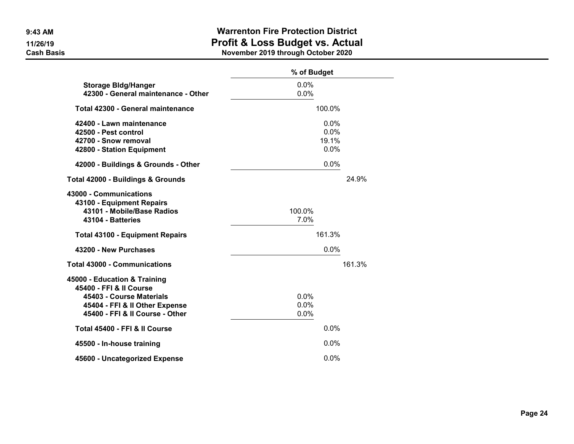|                                                                                                                                                          | % of Budget                   |        |
|----------------------------------------------------------------------------------------------------------------------------------------------------------|-------------------------------|--------|
| <b>Storage Bldg/Hanger</b><br>42300 - General maintenance - Other                                                                                        | 0.0%<br>0.0%                  |        |
| Total 42300 - General maintenance                                                                                                                        | 100.0%                        |        |
| 42400 - Lawn maintenance<br>42500 - Pest control<br>42700 - Snow removal<br>42800 - Station Equipment                                                    | 0.0%<br>0.0%<br>19.1%<br>0.0% |        |
| 42000 - Buildings & Grounds - Other                                                                                                                      | 0.0%                          |        |
| Total 42000 - Buildings & Grounds                                                                                                                        |                               | 24.9%  |
| 43000 - Communications<br>43100 - Equipment Repairs<br>43101 - Mobile/Base Radios<br>43104 - Batteries                                                   | 100.0%<br>7.0%                |        |
| <b>Total 43100 - Equipment Repairs</b>                                                                                                                   | 161.3%                        |        |
| 43200 - New Purchases                                                                                                                                    | 0.0%                          |        |
| <b>Total 43000 - Communications</b>                                                                                                                      |                               | 161.3% |
| 45000 - Education & Training<br>45400 - FFI & II Course<br>45403 - Course Materials<br>45404 - FFI & II Other Expense<br>45400 - FFI & II Course - Other | 0.0%<br>0.0%<br>0.0%          |        |
| Total 45400 - FFI & II Course                                                                                                                            | 0.0%                          |        |
| 45500 - In-house training                                                                                                                                | $0.0\%$                       |        |
| 45600 - Uncategorized Expense                                                                                                                            | 0.0%                          |        |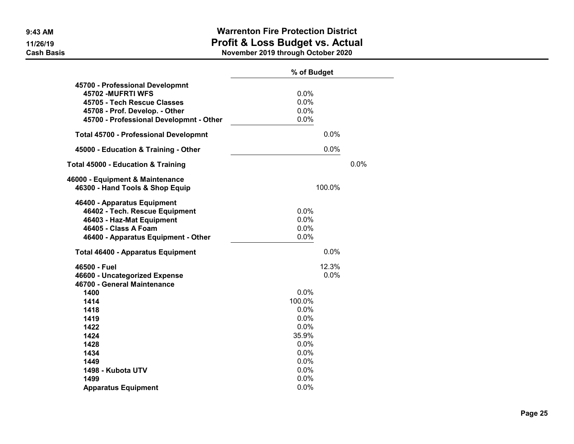|                                                                                                                                                                   | % of Budget                                                     |      |
|-------------------------------------------------------------------------------------------------------------------------------------------------------------------|-----------------------------------------------------------------|------|
| 45700 - Professional Developmnt<br>45702 - MUFRTI WFS<br>45705 - Tech Rescue Classes<br>45708 - Prof. Develop. - Other<br>45700 - Professional Developmnt - Other | 0.0%<br>0.0%<br>0.0%<br>0.0%                                    |      |
| <b>Total 45700 - Professional Developmnt</b>                                                                                                                      | 0.0%                                                            |      |
| 45000 - Education & Training - Other                                                                                                                              | 0.0%                                                            |      |
| <b>Total 45000 - Education &amp; Training</b>                                                                                                                     |                                                                 | 0.0% |
| 46000 - Equipment & Maintenance<br>46300 - Hand Tools & Shop Equip                                                                                                | 100.0%                                                          |      |
| 46400 - Apparatus Equipment<br>46402 - Tech. Rescue Equipment<br>46403 - Haz-Mat Equipment<br>46405 - Class A Foam<br>46400 - Apparatus Equipment - Other         | 0.0%<br>0.0%<br>0.0%<br>0.0%                                    |      |
| <b>Total 46400 - Apparatus Equipment</b>                                                                                                                          | 0.0%                                                            |      |
| 46500 - Fuel<br>46600 - Uncategorized Expense<br>46700 - General Maintenance                                                                                      | 12.3%<br>0.0%                                                   |      |
| 1400<br>1414<br>1418<br>1419<br>1422<br>1424<br>1428<br>1434                                                                                                      | 0.0%<br>100.0%<br>0.0%<br>0.0%<br>0.0%<br>35.9%<br>0.0%<br>0.0% |      |
| 1449<br>1498 - Kubota UTV<br>1499<br><b>Apparatus Equipment</b>                                                                                                   | 0.0%<br>0.0%<br>0.0%<br>0.0%                                    |      |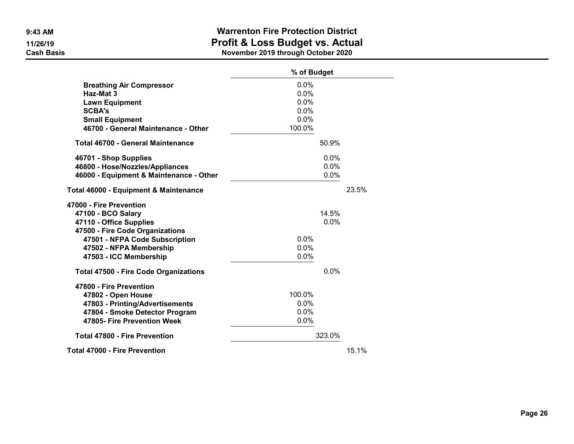|                                                                                                                                                                                                    | % of Budget                                    |       |  |
|----------------------------------------------------------------------------------------------------------------------------------------------------------------------------------------------------|------------------------------------------------|-------|--|
| <b>Breathing Air Compressor</b><br>Haz-Mat 3<br><b>Lawn Equipment</b><br><b>SCBA's</b><br><b>Small Equipment</b><br>46700 - General Maintenance - Other                                            | 0.0%<br>0.0%<br>0.0%<br>0.0%<br>0.0%<br>100.0% |       |  |
| <b>Total 46700 - General Maintenance</b>                                                                                                                                                           | 50.9%                                          |       |  |
| 46701 - Shop Supplies<br>46800 - Hose/Nozzles/Appliances<br>46000 - Equipment & Maintenance - Other                                                                                                | 0.0%<br>0.0%<br>$0.0\%$                        |       |  |
| Total 46000 - Equipment & Maintenance                                                                                                                                                              |                                                | 23.5% |  |
| 47000 - Fire Prevention<br>47100 - BCO Salary<br>47110 - Office Supplies<br>47500 - Fire Code Organizations<br>47501 - NFPA Code Subscription<br>47502 - NFPA Membership<br>47503 - ICC Membership | 14.5%<br>0.0%<br>0.0%<br>0.0%<br>0.0%          |       |  |
| <b>Total 47500 - Fire Code Organizations</b>                                                                                                                                                       | 0.0%                                           |       |  |
| 47800 - Fire Prevention<br>47802 - Open House<br>47803 - Printing/Advertisements<br>47804 - Smoke Detector Program<br>47805- Fire Prevention Week                                                  | 100.0%<br>$0.0\%$<br>0.0%<br>0.0%              |       |  |
| <b>Total 47800 - Fire Prevention</b>                                                                                                                                                               | 323.0%                                         |       |  |
| <b>Total 47000 - Fire Prevention</b>                                                                                                                                                               |                                                | 15.1% |  |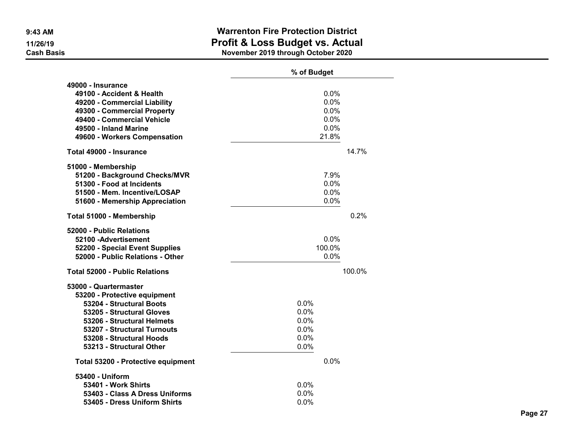|                                       | % of Budget  |  |  |
|---------------------------------------|--------------|--|--|
| 49000 - Insurance                     |              |  |  |
| 49100 - Accident & Health             | 0.0%         |  |  |
| 49200 - Commercial Liability          | 0.0%         |  |  |
| 49300 - Commercial Property           | 0.0%         |  |  |
| 49400 - Commercial Vehicle            | 0.0%         |  |  |
| 49500 - Inland Marine                 | 0.0%         |  |  |
| 49600 - Workers Compensation          | 21.8%        |  |  |
| Total 49000 - Insurance               | 14.7%        |  |  |
| 51000 - Membership                    |              |  |  |
| 51200 - Background Checks/MVR         | 7.9%         |  |  |
| 51300 - Food at Incidents             | 0.0%         |  |  |
| 51500 - Mem. Incentive/LOSAP          | 0.0%<br>0.0% |  |  |
| 51600 - Memership Appreciation        |              |  |  |
| Total 51000 - Membership              | 0.2%         |  |  |
| 52000 - Public Relations              |              |  |  |
| 52100 - Advertisement                 | 0.0%         |  |  |
| 52200 - Special Event Supplies        | 100.0%       |  |  |
| 52000 - Public Relations - Other      | 0.0%         |  |  |
| <b>Total 52000 - Public Relations</b> | 100.0%       |  |  |
| 53000 - Quartermaster                 |              |  |  |
| 53200 - Protective equipment          |              |  |  |
| 53204 - Structural Boots              | 0.0%         |  |  |
| 53205 - Structural Gloves             | 0.0%         |  |  |
| 53206 - Structural Helmets            | 0.0%         |  |  |
| 53207 - Structural Turnouts           | 0.0%         |  |  |
| 53208 - Structural Hoods              | 0.0%         |  |  |
| 53213 - Structural Other              | 0.0%         |  |  |
| Total 53200 - Protective equipment    | 0.0%         |  |  |
| 53400 - Uniform                       |              |  |  |
| 53401 - Work Shirts                   | 0.0%         |  |  |
| 53403 - Class A Dress Uniforms        | 0.0%         |  |  |
| 53405 - Dress Uniform Shirts          | 0.0%         |  |  |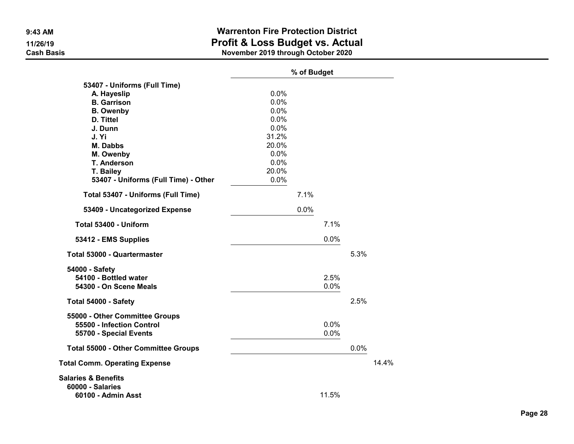|                                                     | % of Budget |      |              |      |       |
|-----------------------------------------------------|-------------|------|--------------|------|-------|
| 53407 - Uniforms (Full Time)                        |             |      |              |      |       |
| A. Hayeslip                                         | 0.0%        |      |              |      |       |
| <b>B.</b> Garrison                                  | 0.0%        |      |              |      |       |
| <b>B.</b> Owenby                                    | 0.0%        |      |              |      |       |
| D. Tittel                                           | 0.0%        |      |              |      |       |
| J. Dunn                                             | 0.0%        |      |              |      |       |
| J. Yi                                               | 31.2%       |      |              |      |       |
| <b>M. Dabbs</b>                                     | 20.0%       |      |              |      |       |
| M. Owenby                                           | 0.0%        |      |              |      |       |
| <b>T. Anderson</b>                                  | 0.0%        |      |              |      |       |
| T. Bailey                                           | 20.0%       |      |              |      |       |
| 53407 - Uniforms (Full Time) - Other                | 0.0%        |      |              |      |       |
| Total 53407 - Uniforms (Full Time)                  |             | 7.1% |              |      |       |
| 53409 - Uncategorized Expense                       |             | 0.0% |              |      |       |
| Total 53400 - Uniform                               |             |      | 7.1%         |      |       |
| 53412 - EMS Supplies                                |             |      | 0.0%         |      |       |
| <b>Total 53000 - Quartermaster</b>                  |             |      |              | 5.3% |       |
| 54000 - Safety<br>54100 - Bottled water             |             |      | 2.5%         |      |       |
| 54300 - On Scene Meals                              |             |      | 0.0%         |      |       |
| Total 54000 - Safety                                |             |      |              | 2.5% |       |
| 55000 - Other Committee Groups                      |             |      |              |      |       |
| 55500 - Infection Control<br>55700 - Special Events |             |      | 0.0%<br>0.0% |      |       |
| <b>Total 55000 - Other Committee Groups</b>         |             |      |              | 0.0% |       |
| <b>Total Comm. Operating Expense</b>                |             |      |              |      | 14.4% |
|                                                     |             |      |              |      |       |
| <b>Salaries &amp; Benefits</b>                      |             |      |              |      |       |
| <b>60000 - Salaries</b><br>60100 - Admin Asst       |             |      | 11.5%        |      |       |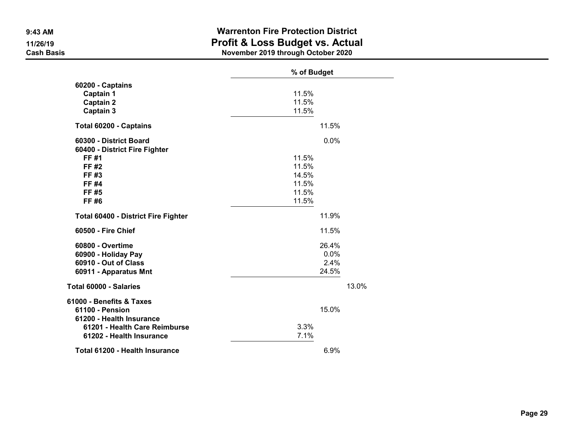|                                     | % of Budget |       |
|-------------------------------------|-------------|-------|
| 60200 - Captains                    |             |       |
| Captain 1                           | 11.5%       |       |
| <b>Captain 2</b>                    | 11.5%       |       |
| <b>Captain 3</b>                    | 11.5%       |       |
| Total 60200 - Captains              |             | 11.5% |
| 60300 - District Board              |             | 0.0%  |
| 60400 - District Fire Fighter       |             |       |
| FF #1                               | 11.5%       |       |
| FF #2                               | 11.5%       |       |
| FF #3                               | 14.5%       |       |
| FF #4                               | 11.5%       |       |
| FF #5                               | 11.5%       |       |
| FF #6                               | 11.5%       |       |
| Total 60400 - District Fire Fighter |             | 11.9% |
| 60500 - Fire Chief                  |             | 11.5% |
| 60800 - Overtime                    |             | 26.4% |
| 60900 - Holiday Pay                 |             | 0.0%  |
| 60910 - Out of Class                |             | 2.4%  |
| 60911 - Apparatus Mnt               |             | 24.5% |
| Total 60000 - Salaries              |             | 13.0% |
| 61000 - Benefits & Taxes            |             |       |
| 61100 - Pension                     |             | 15.0% |
| 61200 - Health Insurance            | 3.3%        |       |
| 61201 - Health Care Reimburse       |             |       |
| 61202 - Health Insurance            | 7.1%        |       |
| Total 61200 - Health Insurance      |             | 6.9%  |